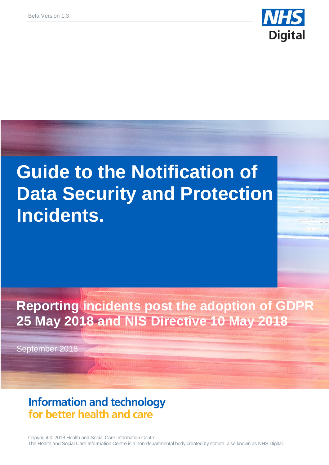

# **Guide to the Notification of Data Security and Protection Incidents.**

## **Reporting incidents post the adoption of GDPR 25 May 2018 and NIS Directive 10 May 2018**

September 2018

### **Information and technology** for better health and care

Copyright © 2018 Health and Social Care Information Centre. The Health and Social Care Information Centre is a non-departmental body created by statute, also known as NHS Digital.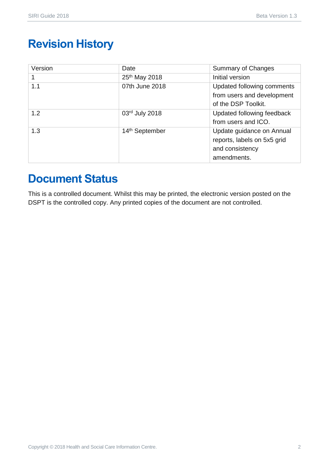### <span id="page-1-0"></span>**Revision History**

| Version | Date           | <b>Summary of Changes</b>   |
|---------|----------------|-----------------------------|
|         | 25th May 2018  | Initial version             |
| 1.1     | 07th June 2018 | Updated following comments  |
|         |                | from users and development  |
|         |                | of the DSP Toolkit.         |
| 1.2     | 03rd July 2018 | Updated following feedback  |
|         |                | from users and ICO.         |
| 1.3     | 14th September | Update guidance on Annual   |
|         |                | reports, labels on 5x5 grid |
|         |                | and consistency             |
|         |                | amendments.                 |

### <span id="page-1-1"></span>**Document Status**

This is a controlled document. Whilst this may be printed, the electronic version posted on the DSPT is the controlled copy. Any printed copies of the document are not controlled.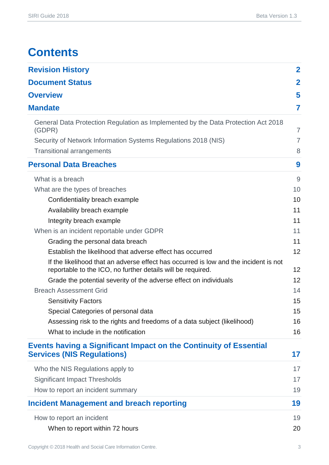### **Contents**

| <b>Revision History</b>                                                                                                                             | $\mathbf{2}$   |
|-----------------------------------------------------------------------------------------------------------------------------------------------------|----------------|
| <b>Document Status</b>                                                                                                                              | $\mathbf{2}$   |
| <b>Overview</b>                                                                                                                                     | 5              |
| <b>Mandate</b>                                                                                                                                      | 7              |
| General Data Protection Regulation as Implemented by the Data Protection Act 2018                                                                   |                |
| (GDPR)                                                                                                                                              | $\overline{7}$ |
| Security of Network Information Systems Regulations 2018 (NIS)                                                                                      | 7              |
| <b>Transitional arrangements</b>                                                                                                                    | 8              |
| <b>Personal Data Breaches</b>                                                                                                                       | 9              |
| What is a breach                                                                                                                                    | 9              |
| What are the types of breaches                                                                                                                      | 10             |
| Confidentiality breach example                                                                                                                      | 10             |
| Availability breach example                                                                                                                         | 11             |
| Integrity breach example                                                                                                                            | 11             |
| When is an incident reportable under GDPR                                                                                                           | 11             |
| Grading the personal data breach                                                                                                                    | 11             |
| Establish the likelihood that adverse effect has occurred                                                                                           | 12             |
| If the likelihood that an adverse effect has occurred is low and the incident is not<br>reportable to the ICO, no further details will be required. | 12             |
| Grade the potential severity of the adverse effect on individuals                                                                                   | 12             |
| <b>Breach Assessment Grid</b>                                                                                                                       | 14             |
| <b>Sensitivity Factors</b>                                                                                                                          | 15             |
| Special Categories of personal data                                                                                                                 | 15             |
| Assessing risk to the rights and freedoms of a data subject (likelihood)                                                                            | 16             |
| What to include in the notification                                                                                                                 | 16             |
| <b>Events having a Significant Impact on the Continuity of Essential</b>                                                                            |                |
| <b>Services (NIS Regulations)</b>                                                                                                                   | 17             |
| Who the NIS Regulations apply to                                                                                                                    | 17             |
| <b>Significant Impact Thresholds</b>                                                                                                                | 17             |
| How to report an incident summary                                                                                                                   | 19             |
| <b>Incident Management and breach reporting</b>                                                                                                     | 19             |
| How to report an incident                                                                                                                           | 19             |
| When to report within 72 hours                                                                                                                      | 20             |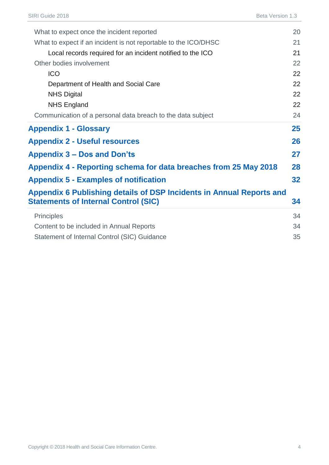| SIRI Guide 2018<br>Beta Version 1.3                                                                                 |    |
|---------------------------------------------------------------------------------------------------------------------|----|
| What to expect once the incident reported                                                                           | 20 |
| What to expect if an incident is not reportable to the ICO/DHSC                                                     | 21 |
| Local records required for an incident notified to the ICO                                                          | 21 |
| Other bodies involvement                                                                                            | 22 |
| <b>ICO</b>                                                                                                          | 22 |
| Department of Health and Social Care                                                                                | 22 |
| <b>NHS Digital</b>                                                                                                  | 22 |
| <b>NHS England</b>                                                                                                  | 22 |
| Communication of a personal data breach to the data subject                                                         | 24 |
| <b>Appendix 1 - Glossary</b>                                                                                        | 25 |
| <b>Appendix 2 - Useful resources</b>                                                                                | 26 |
| <b>Appendix 3 – Dos and Don'ts</b>                                                                                  | 27 |
| Appendix 4 - Reporting schema for data breaches from 25 May 2018                                                    | 28 |
| <b>Appendix 5 - Examples of notification</b>                                                                        | 32 |
| Appendix 6 Publishing details of DSP Incidents in Annual Reports and<br><b>Statements of Internal Control (SIC)</b> | 34 |
| <b>Principles</b>                                                                                                   | 34 |
| Content to be included in Annual Reports                                                                            | 34 |
| Statement of Internal Control (SIC) Guidance                                                                        | 35 |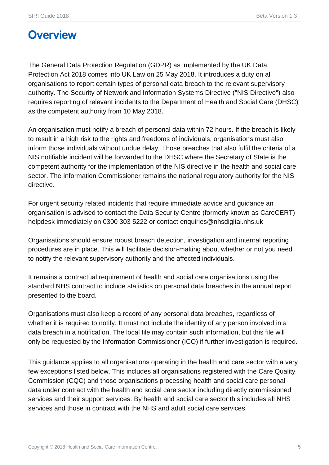### <span id="page-4-0"></span>**Overview**

The General Data Protection Regulation (GDPR) as implemented by the UK Data Protection Act 2018 comes into UK Law on 25 May 2018. It introduces a duty on all organisations to report certain types of personal data breach to the relevant supervisory authority. The Security of Network and Information Systems Directive ("NIS Directive") also requires reporting of relevant incidents to the Department of Health and Social Care (DHSC) as the competent authority from 10 May 2018.

An organisation must notify a breach of personal data within 72 hours. If the breach is likely to result in a high risk to the rights and freedoms of individuals, organisations must also inform those individuals without undue delay. Those breaches that also fulfil the criteria of a NIS notifiable incident will be forwarded to the DHSC where the Secretary of State is the competent authority for the implementation of the NIS directive in the health and social care sector. The Information Commissioner remains the national regulatory authority for the NIS directive.

For urgent security related incidents that require immediate advice and guidance an organisation is advised to contact the Data Security Centre (formerly known as CareCERT) helpdesk immediately on 0300 303 5222 or contact [enquiries@nhsdigital.nhs.uk](mailto:enquiries@nhsdigital.nhs.uk)

Organisations should ensure robust breach detection, investigation and internal reporting procedures are in place. This will facilitate decision-making about whether or not you need to notify the relevant supervisory authority and the affected individuals.

It remains a contractual requirement of health and social care organisations using the standard NHS contract to include statistics on personal data breaches in the annual report presented to the board.

Organisations must also keep a record of any personal data breaches, regardless of whether it is required to notify. It must not include the identity of any person involved in a data breach in a notification. The local file may contain such information, but this file will only be requested by the Information Commissioner (ICO) if further investigation is required.

This guidance applies to all organisations operating in the health and care sector with a very few exceptions listed below. This includes all organisations registered with the Care Quality Commission (CQC) and those organisations processing health and social care personal data under contract with the health and social care sector including directly commissioned services and their support services. By health and social care sector this includes all NHS services and those in contract with the NHS and adult social care services.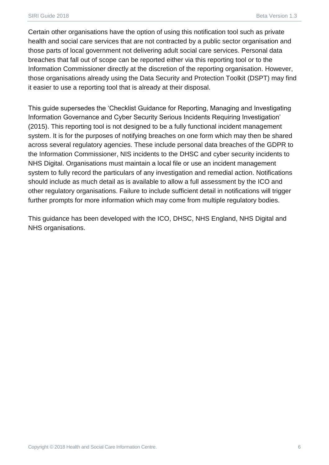Certain other organisations have the option of using this notification tool such as private health and social care services that are not contracted by a public sector organisation and those parts of local government not delivering adult social care services. Personal data breaches that fall out of scope can be reported either via this reporting tool or to the Information Commissioner directly at the discretion of the reporting organisation. However, those organisations already using the Data Security and Protection Toolkit (DSPT) may find it easier to use a reporting tool that is already at their disposal.

This guide supersedes the 'Checklist Guidance for Reporting, Managing and Investigating Information Governance and Cyber Security Serious Incidents Requiring Investigation' (2015). This reporting tool is not designed to be a fully functional incident management system. It is for the purposes of notifying breaches on one form which may then be shared across several regulatory agencies. These include personal data breaches of the GDPR to the Information Commissioner, NIS incidents to the DHSC and cyber security incidents to NHS Digital. Organisations must maintain a local file or use an incident management system to fully record the particulars of any investigation and remedial action. Notifications should include as much detail as is available to allow a full assessment by the ICO and other regulatory organisations. Failure to include sufficient detail in notifications will trigger further prompts for more information which may come from multiple regulatory bodies.

This guidance has been developed with the ICO, DHSC, NHS England, NHS Digital and NHS organisations.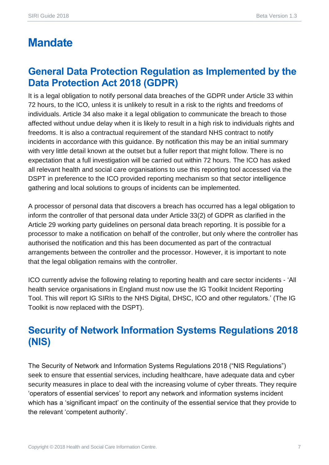### <span id="page-6-0"></span>**Mandate**

### <span id="page-6-1"></span>**General Data Protection Regulation as Implemented by the Data Protection Act 2018 (GDPR)**

It is a legal obligation to notify personal data breaches of the GDPR under Article 33 within 72 hours, to the ICO, unless it is unlikely to result in a risk to the rights and freedoms of individuals. Article 34 also make it a legal obligation to communicate the breach to those affected without undue delay when it is likely to result in a high risk to individuals rights and freedoms. It is also a contractual requirement of the standard NHS contract to notify incidents in accordance with this guidance. By notification this may be an initial summary with very little detail known at the outset but a fuller report that might follow. There is no expectation that a full investigation will be carried out within 72 hours. The ICO has asked all relevant health and social care organisations to use this reporting tool accessed via the DSPT in preference to the ICO provided reporting mechanism so that sector intelligence gathering and local solutions to groups of incidents can be implemented.

A processor of personal data that discovers a breach has occurred has a legal obligation to inform the controller of that personal data under Article 33(2) of GDPR as clarified in the Article 29 working party guidelines on personal data breach reporting. It is possible for a processor to make a notification on behalf of the controller, but only where the controller has authorised the notification and this has been documented as part of the contractual arrangements between the controller and the processor. However, it is important to note that the legal obligation remains with the controller.

ICO currently advise the following relating to reporting health and care sector incidents - 'All health service organisations in England must now use the IG Toolkit Incident Reporting Tool. This will report IG SIRIs to the NHS Digital, DHSC, ICO and other regulators.' (The IG Toolkit is now replaced with the DSPT).

### <span id="page-6-2"></span>**Security of Network Information Systems Regulations 2018 (NIS)**

The Security of Network and Information Systems Regulations 2018 ("NIS Regulations") seek to ensure that essential services, including healthcare, have adequate data and cyber security measures in place to deal with the increasing volume of cyber threats. They require 'operators of essential services' to report any network and information systems incident which has a 'significant impact' on the continuity of the essential service that they provide to the relevant 'competent authority'.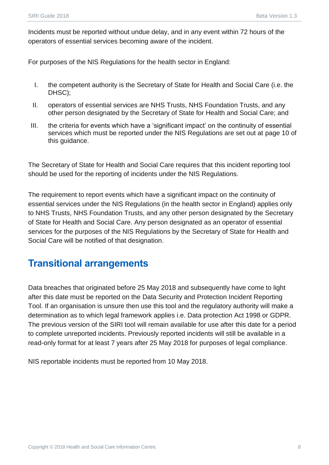Incidents must be reported without undue delay, and in any event within 72 hours of the operators of essential services becoming aware of the incident.

For purposes of the NIS Regulations for the health sector in England:

- I. the competent authority is the Secretary of State for Health and Social Care (i.e. the DHSC);
- II. operators of essential services are NHS Trusts, NHS Foundation Trusts, and any other person designated by the Secretary of State for Health and Social Care; and
- III. the criteria for events which have a 'significant impact' on the continuity of essential services which must be reported under the NIS Regulations are set out at page 10 of this guidance.

The Secretary of State for Health and Social Care requires that this incident reporting tool should be used for the reporting of incidents under the NIS Regulations.

The requirement to report events which have a significant impact on the continuity of essential services under the NIS Regulations (in the health sector in England) applies only to NHS Trusts, NHS Foundation Trusts, and any other person designated by the Secretary of State for Health and Social Care. Any person designated as an operator of essential services for the purposes of the NIS Regulations by the Secretary of State for Health and Social Care will be notified of that designation.

#### <span id="page-7-0"></span>**Transitional arrangements**

Data breaches that originated before 25 May 2018 and subsequently have come to light after this date must be reported on the Data Security and Protection Incident Reporting Tool. If an organisation is unsure then use this tool and the regulatory authority will make a determination as to which legal framework applies i.e. Data protection Act 1998 or GDPR. The previous version of the SIRI tool will remain available for use after this date for a period to complete unreported incidents. Previously reported incidents will still be available in a read-only format for at least 7 years after 25 May 2018 for purposes of legal compliance.

NIS reportable incidents must be reported from 10 May 2018.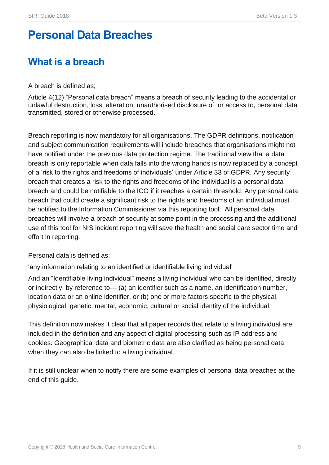### <span id="page-8-0"></span>**Personal Data Breaches**

### <span id="page-8-1"></span>**What is a breach**

A breach is defined as;

Article 4(12) "Personal data breach" means a breach of security leading to the accidental or unlawful destruction, loss, alteration, unauthorised disclosure of, or access to, personal data transmitted, stored or otherwise processed.

Breach reporting is now mandatory for all organisations. The GDPR definitions, notification and subject communication requirements will include breaches that organisations might not have notified under the previous data protection regime. The traditional view that a data breach is only reportable when data falls into the wrong hands is now replaced by a concept of a 'risk to the rights and freedoms of individuals' under Article 33 of GDPR. Any security breach that creates a risk to the rights and freedoms of the individual is a personal data breach and could be notifiable to the ICO if it reaches a certain threshold. Any personal data breach that could create a significant risk to the rights and freedoms of an individual must be notified to the Information Commissioner via this reporting tool. All personal data breaches will involve a breach of security at some point in the processing and the additional use of this tool for NIS incident reporting will save the health and social care sector time and effort in reporting.

Personal data is defined as;

'any information relating to an identified or identifiable living individual'

And an "Identifiable living individual" means a living individual who can be identified, directly or indirectly, by reference to— (a) an identifier such as a name, an identification number, location data or an online identifier, or (b) one or more factors specific to the physical, physiological, genetic, mental, economic, cultural or social identity of the individual.

This definition now makes it clear that all paper records that relate to a living individual are included in the definition and any aspect of digital processing such as IP address and cookies. Geographical data and biometric data are also clarified as being personal data when they can also be linked to a living individual.

If it is still unclear when to notify there are some examples of personal data breaches at the end of this guide.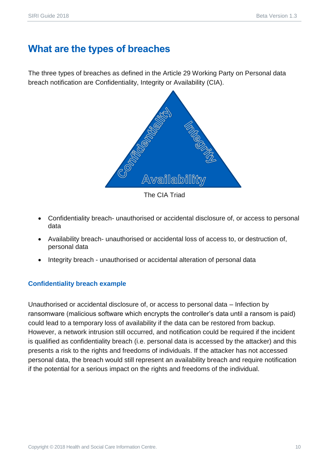### <span id="page-9-0"></span>**What are the types of breaches**

The three types of breaches as defined in the Article 29 Working Party on Personal data breach notification are Confidentiality, Integrity or Availability (CIA).



The CIA Triad

- Confidentiality breach- unauthorised or accidental disclosure of, or access to personal data
- Availability breach- unauthorised or accidental loss of access to, or destruction of, personal data
- Integrity breach unauthorised or accidental alteration of personal data

#### <span id="page-9-1"></span>**Confidentiality breach example**

Unauthorised or accidental disclosure of, or access to personal data – Infection by ransomware (malicious software which encrypts the controller's data until a ransom is paid) could lead to a temporary loss of availability if the data can be restored from backup. However, a network intrusion still occurred, and notification could be required if the incident is qualified as confidentiality breach (i.e. personal data is accessed by the attacker) and this presents a risk to the rights and freedoms of individuals. If the attacker has not accessed personal data, the breach would still represent an availability breach and require notification if the potential for a serious impact on the rights and freedoms of the individual.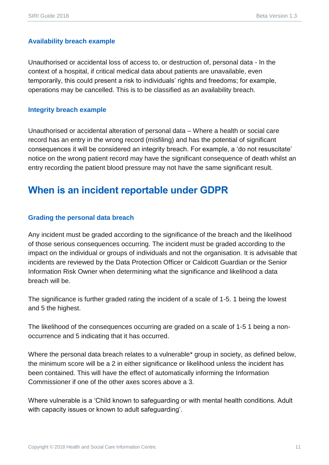#### <span id="page-10-0"></span>**Availability breach example**

Unauthorised or accidental loss of access to, or destruction of, personal data - In the context of a hospital, if critical medical data about patients are unavailable, even temporarily, this could present a risk to individuals' rights and freedoms; for example, operations may be cancelled. This is to be classified as an availability breach.

#### <span id="page-10-1"></span>**Integrity breach example**

Unauthorised or accidental alteration of personal data – Where a health or social care record has an entry in the wrong record (misfiling) and has the potential of significant consequences it will be considered an integrity breach. For example, a 'do not resuscitate' notice on the wrong patient record may have the significant consequence of death whilst an entry recording the patient blood pressure may not have the same significant result.

### <span id="page-10-2"></span>**When is an incident reportable under GDPR**

#### <span id="page-10-3"></span>**Grading the personal data breach**

Any incident must be graded according to the significance of the breach and the likelihood of those serious consequences occurring. The incident must be graded according to the impact on the individual or groups of individuals and not the organisation. It is advisable that incidents are reviewed by the Data Protection Officer or Caldicott Guardian or the Senior Information Risk Owner when determining what the significance and likelihood a data breach will be.

The significance is further graded rating the incident of a scale of 1-5. 1 being the lowest and 5 the highest.

The likelihood of the consequences occurring are graded on a scale of 1-5 1 being a nonoccurrence and 5 indicating that it has occurred.

Where the personal data breach relates to a vulnerable\* group in society, as defined below, the minimum score will be a 2 in either significance or likelihood unless the incident has been contained. This will have the effect of automatically informing the Information Commissioner if one of the other axes scores above a 3.

Where vulnerable is a 'Child known to safeguarding or with mental health conditions. Adult with capacity issues or known to adult safeguarding'.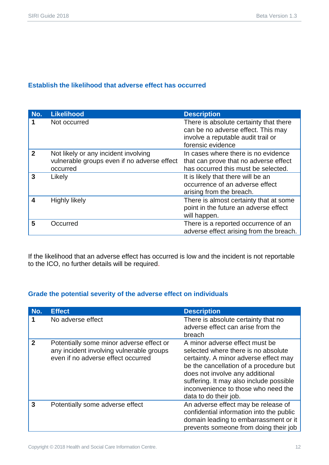#### <span id="page-11-0"></span>**Establish the likelihood that adverse effect has occurred**

| No.          | <b>Likelihood</b>                                                                               | <b>Description</b>                                                                                                                      |
|--------------|-------------------------------------------------------------------------------------------------|-----------------------------------------------------------------------------------------------------------------------------------------|
|              | Not occurred                                                                                    | There is absolute certainty that there<br>can be no adverse effect. This may<br>involve a reputable audit trail or<br>forensic evidence |
| $\mathbf{2}$ | Not likely or any incident involving<br>vulnerable groups even if no adverse effect<br>occurred | In cases where there is no evidence<br>that can prove that no adverse effect<br>has occurred this must be selected.                     |
| 3            | Likely                                                                                          | It is likely that there will be an<br>occurrence of an adverse effect<br>arising from the breach.                                       |
|              | <b>Highly likely</b>                                                                            | There is almost certainty that at some<br>point in the future an adverse effect<br>will happen.                                         |
| 5            | Occurred                                                                                        | There is a reported occurrence of an<br>adverse effect arising from the breach.                                                         |

<span id="page-11-1"></span>If the likelihood that an adverse effect has occurred is low and the incident is not reportable to the ICO, no further details will be required.

#### <span id="page-11-2"></span>**Grade the potential severity of the adverse effect on individuals**

| No.         | <b>Effect</b>                                                                                                              | <b>Description</b>                                                                                                                                                                                                                                                                                     |
|-------------|----------------------------------------------------------------------------------------------------------------------------|--------------------------------------------------------------------------------------------------------------------------------------------------------------------------------------------------------------------------------------------------------------------------------------------------------|
| 1           | No adverse effect                                                                                                          | There is absolute certainty that no<br>adverse effect can arise from the<br>breach                                                                                                                                                                                                                     |
| $\mathbf 2$ | Potentially some minor adverse effect or<br>any incident involving vulnerable groups<br>even if no adverse effect occurred | A minor adverse effect must be<br>selected where there is no absolute<br>certainty. A minor adverse effect may<br>be the cancellation of a procedure but<br>does not involve any additional<br>suffering. It may also include possible<br>inconvenience to those who need the<br>data to do their job. |
| 3           | Potentially some adverse effect                                                                                            | An adverse effect may be release of<br>confidential information into the public<br>domain leading to embarrassment or it<br>prevents someone from doing their job                                                                                                                                      |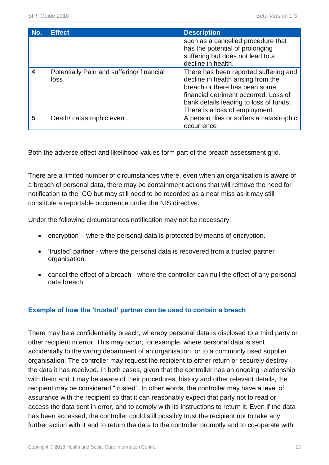| No. | <b>Effect</b>                                    | <b>Description</b>                                                                                                                                                                                                                |
|-----|--------------------------------------------------|-----------------------------------------------------------------------------------------------------------------------------------------------------------------------------------------------------------------------------------|
|     |                                                  | such as a cancelled procedure that<br>has the potential of prolonging<br>suffering but does not lead to a<br>decline in health.                                                                                                   |
| 4   | Potentially Pain and suffering/financial<br>loss | There has been reported suffering and<br>decline in health arising from the<br>breach or there has been some<br>financial detriment occurred. Loss of<br>bank details leading to loss of funds.<br>There is a loss of employment. |
| 5   | Death/catastrophic event.                        | A person dies or suffers a catastrophic<br>occurrence                                                                                                                                                                             |

Both the adverse effect and likelihood values form part of the breach assessment grid.

There are a limited number of circumstances where, even when an organisation is aware of a breach of personal data, there may be containment actions that will remove the need for notification to the ICO but may still need to be recorded as a near miss as it may still constitute a reportable occurrence under the NIS directive.

Under the following circumstances notification may not be necessary;

- encryption where the personal data is protected by means of encryption.
- 'trusted' partner where the personal data is recovered from a trusted partner organisation.
- cancel the effect of a breach where the controller can null the effect of any personal data breach.

#### **Example of how the 'trusted' partner can be used to contain a breach**

There may be a confidentiality breach, whereby personal data is disclosed to a third party or other recipient in error. This may occur, for example, where personal data is sent accidentally to the wrong department of an organisation, or to a commonly used supplier organisation. The controller may request the recipient to either return or securely destroy the data it has received. In both cases, given that the controller has an ongoing relationship with them and it may be aware of their procedures, history and other relevant details, the recipient may be considered "trusted". In other words, the controller may have a level of assurance with the recipient so that it can reasonably expect that party not to read or access the data sent in error, and to comply with its instructions to return it. Even if the data has been accessed, the controller could still possibly trust the recipient not to take any further action with it and to return the data to the controller promptly and to co-operate with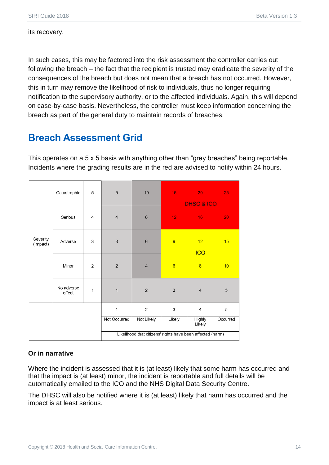its recovery.

In such cases, this may be factored into the risk assessment the controller carries out following the breach – the fact that the recipient is trusted may eradicate the severity of the consequences of the breach but does not mean that a breach has not occurred. However, this in turn may remove the likelihood of risk to individuals, thus no longer requiring notification to the supervisory authority, or to the affected individuals. Again, this will depend on case-by-case basis. Nevertheless, the controller must keep information concerning the breach as part of the general duty to maintain records of breaches.

### <span id="page-13-0"></span>**Breach Assessment Grid**

This operates on a 5 x 5 basis with anything other than "grey breaches" being reportable. Incidents where the grading results are in the red are advised to notify within 24 hours.

|                      | Catastrophic         | 5              | $\overline{5}$            | 10                                                         | 15              | 20<br><b>DHSC &amp; ICO</b> | 25              |
|----------------------|----------------------|----------------|---------------------------|------------------------------------------------------------|-----------------|-----------------------------|-----------------|
|                      | Serious              | $\overline{4}$ | $\overline{4}$            | $\delta$                                                   | 12 <sub>1</sub> | 16                          | 20              |
| Severity<br>(Impact) | Adverse              | 3              | $\ensuremath{\mathsf{3}}$ | $\,6$                                                      | 9               | 12<br><b>ICO</b>            | 15              |
|                      | Minor                | $\overline{2}$ | $\overline{2}$            | $\overline{4}$                                             | 6               | 8                           | 10              |
|                      | No adverse<br>effect | $\mathbf{1}$   | $\mathbf{1}$              | $\overline{2}$                                             | $\mathfrak{Z}$  | $\overline{4}$              | $5\phantom{.0}$ |
|                      |                      |                | 1                         | $\overline{2}$                                             | 3               | $\overline{4}$              | 5               |
|                      |                      |                | Not Occurred              | Not Likely                                                 | Likely          | <b>Highly</b><br>Likely     | Occurred        |
|                      |                      |                |                           | Likelihood that citizens' rights have been affected (harm) |                 |                             |                 |

#### **Or in narrative**

Where the incident is assessed that it is (at least) likely that some harm has occurred and that the impact is (at least) minor, the incident is reportable and full details will be automatically emailed to the ICO and the NHS Digital Data Security Centre.

The DHSC will also be notified where it is (at least) likely that harm has occurred and the impact is at least serious.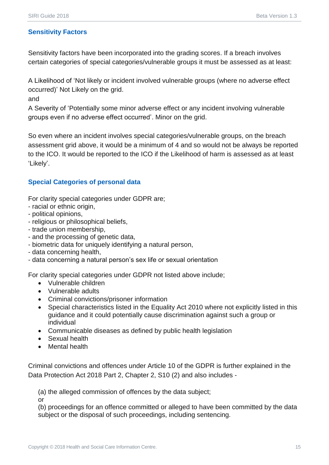#### <span id="page-14-0"></span>**Sensitivity Factors**

Sensitivity factors have been incorporated into the grading scores. If a breach involves certain categories of special categories/vulnerable groups it must be assessed as at least:

A Likelihood of 'Not likely or incident involved vulnerable groups (where no adverse effect occurred)' Not Likely on the grid.

and

A Severity of 'Potentially some minor adverse effect or any incident involving vulnerable groups even if no adverse effect occurred'. Minor on the grid.

So even where an incident involves special categories/vulnerable groups, on the breach assessment grid above, it would be a minimum of 4 and so would not be always be reported to the ICO. It would be reported to the ICO if the Likelihood of harm is assessed as at least 'Likely'.

#### <span id="page-14-1"></span>**Special Categories of personal data**

For clarity special categories under GDPR are;

- racial or ethnic origin,
- political opinions,
- religious or philosophical beliefs,
- trade union membership,
- and the processing of genetic data,
- biometric data for uniquely identifying a natural person,
- data concerning health,
- data concerning a natural person's sex life or sexual orientation

For clarity special categories under GDPR not listed above include;

- Vulnerable children
- Vulnerable adults
- Criminal convictions/prisoner information
- Special characteristics listed in the Equality Act 2010 where not explicitly listed in this guidance and it could potentially cause discrimination against such a group or individual
- Communicable diseases as defined by public health legislation
- Sexual health
- Mental health

Criminal convictions and offences under Article 10 of the GDPR is further explained in the Data Protection Act 2018 Part 2, Chapter 2, S10 (2) and also includes -

(a) the alleged commission of offences by the data subject;

or

(b) proceedings for an offence committed or alleged to have been committed by the data subject or the disposal of such proceedings, including sentencing.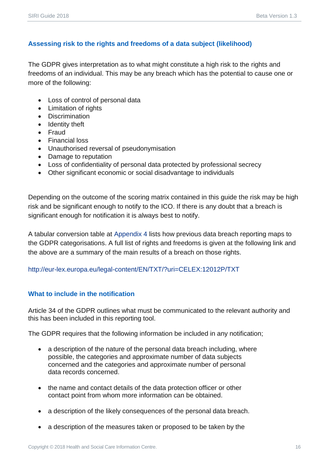#### <span id="page-15-0"></span>**Assessing risk to the rights and freedoms of a data subject (likelihood)**

The GDPR gives interpretation as to what might constitute a high risk to the rights and freedoms of an individual. This may be any breach which has the potential to cause one or more of the following:

- Loss of control of personal data
- Limitation of rights
- Discrimination
- Identity theft
- Fraud
- Financial loss
- Unauthorised reversal of pseudonymisation
- Damage to reputation
- Loss of confidentiality of personal data protected by professional secrecy
- Other significant economic or social disadvantage to individuals

Depending on the outcome of the scoring matrix contained in this guide the risk may be high risk and be significant enough to notify to the ICO. If there is any doubt that a breach is significant enough for notification it is always best to notify.

A tabular conversion table at [Appendix](#page-27-0) 4 lists how previous data breach reporting maps to the GDPR categorisations. A full list of rights and freedoms is given at the following link and the above are a summary of the main results of a breach on those rights.

#### <http://eur-lex.europa.eu/legal-content/EN/TXT/?uri=CELEX:12012P/TXT>

#### <span id="page-15-1"></span>**What to include in the notification**

Article 34 of the GDPR outlines what must be communicated to the relevant authority and this has been included in this reporting tool.

The GDPR requires that the following information be included in any notification;

- a description of the nature of the personal data breach including, where possible, the categories and approximate number of data subjects concerned and the categories and approximate number of personal data records concerned.
- the name and contact details of the data protection officer or other contact point from whom more information can be obtained.
- a description of the likely consequences of the personal data breach.
- a description of the measures taken or proposed to be taken by the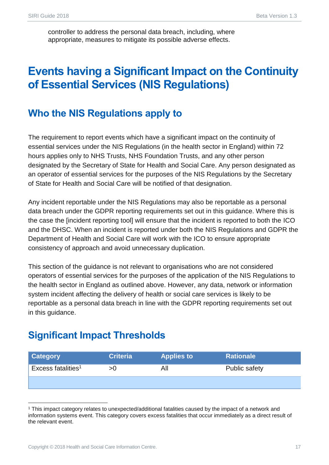controller to address the personal data breach, including, where appropriate, measures to mitigate its possible adverse effects.

### <span id="page-16-0"></span>**Events having a Significant Impact on the Continuity of Essential Services (NIS Regulations)**

### <span id="page-16-1"></span>**Who the NIS Regulations apply to**

The requirement to report events which have a significant impact on the continuity of essential services under the NIS Regulations (in the health sector in England) within 72 hours applies only to NHS Trusts, NHS Foundation Trusts, and any other person designated by the Secretary of State for Health and Social Care. Any person designated as an operator of essential services for the purposes of the NIS Regulations by the Secretary of State for Health and Social Care will be notified of that designation.

Any incident reportable under the NIS Regulations may also be reportable as a personal data breach under the GDPR reporting requirements set out in this guidance. Where this is the case the [incident reporting tool] will ensure that the incident is reported to both the ICO and the DHSC. When an incident is reported under both the NIS Regulations and GDPR the Department of Health and Social Care will work with the ICO to ensure appropriate consistency of approach and avoid unnecessary duplication.

This section of the guidance is not relevant to organisations who are not considered operators of essential services for the purposes of the application of the NIS Regulations to the health sector in England as outlined above. However, any data, network or information system incident affecting the delivery of health or social care services is likely to be reportable as a personal data breach in line with the GDPR reporting requirements set out in this guidance.

### <span id="page-16-2"></span>**Significant Impact Thresholds**

| <b>Category</b>                | <b>Criteria</b> | <b>Applies to</b> | <b>Rationale</b>     |
|--------------------------------|-----------------|-------------------|----------------------|
| Excess fatalities <sup>1</sup> | U               | All               | <b>Public safety</b> |
|                                |                 |                   |                      |

<sup>1</sup> This impact category relates to unexpected/additional fatalities caused by the impact of a network and information systems event. This category covers excess fatalities that occur immediately as a direct result of the relevant event.

-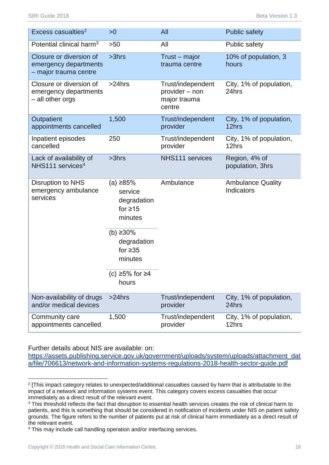| Excess casualties <sup>2</sup>                                            | >0                                                                                                                                               | All                                                           | <b>Public safety</b>                   |
|---------------------------------------------------------------------------|--------------------------------------------------------------------------------------------------------------------------------------------------|---------------------------------------------------------------|----------------------------------------|
| Potential clinical harm <sup>3</sup>                                      | >50                                                                                                                                              | All                                                           |                                        |
|                                                                           |                                                                                                                                                  |                                                               | <b>Public safety</b>                   |
| Closure or diversion of<br>emergency departments<br>- major trauma centre | $>3$ hrs                                                                                                                                         | Trust – major<br>trauma centre                                | 10% of population, 3<br>hours          |
| Closure or diversion of<br>emergency departments<br>- all other orgs      | $>24$ hrs                                                                                                                                        | Trust/independent<br>provider – non<br>major trauma<br>centre | City, 1% of population,<br>24hrs       |
| Outpatient<br>appointments cancelled                                      | 1,500                                                                                                                                            | Trust/independent<br>provider                                 | City, 1% of population,<br>12hrs       |
| Inpatient episodes<br>cancelled                                           | 250                                                                                                                                              | Trust/independent<br>provider                                 | City, 1% of population,<br>12hrs       |
| Lack of availability of<br>NHS111 services <sup>4</sup>                   | $>3$ hrs                                                                                                                                         | NHS111 services                                               | Region, 4% of<br>population, 3hrs      |
|                                                                           |                                                                                                                                                  |                                                               |                                        |
| Disruption to NHS<br>emergency ambulance<br>services                      | (a) ≥85%<br>service<br>degradation<br>for $\geq 15$<br>minutes<br>(b) ≥30%<br>degradation<br>for $\geq 35$<br>minutes<br>(c) ≥5% for ≥4<br>hours | Ambulance                                                     | <b>Ambulance Quality</b><br>Indicators |
| Non-availability of drugs<br>and/or medical devices                       | $>24$ hrs                                                                                                                                        | Trust/independent<br>provider                                 | City, 1% of population,<br>24hrs       |

Further details about NIS are available: on:

[https://assets.publishing.service.gov.uk/government/uploads/system/uploads/attachment\\_dat](https://assets.publishing.service.gov.uk/government/uploads/system/uploads/attachment_data/file/706613/network-and-information-systems-regulations-2018-health-sector-guide.pdf) [a/file/706613/network-and-information-systems-regulations-2018-health-sector-guide.pdf](https://assets.publishing.service.gov.uk/government/uploads/system/uploads/attachment_data/file/706613/network-and-information-systems-regulations-2018-health-sector-guide.pdf)

<sup>-</sup>2 [This impact category relates to unexpected/additional casualties caused by harm that is attributable to the impact of a network and information systems event. This category covers excess casualties that occur immediately as a direct result of the relevant event.

<sup>&</sup>lt;sup>3</sup> This threshold reflects the fact that disruption to essential health services creates the risk of clinical harm to patients, and this is something that should be considered in notification of incidents under NIS on patient safety grounds. The figure refers to the number of patients put at risk of clinical harm immediately as a direct result of the relevant event.

<sup>4</sup> This may include call handling operation and/or interfacing services.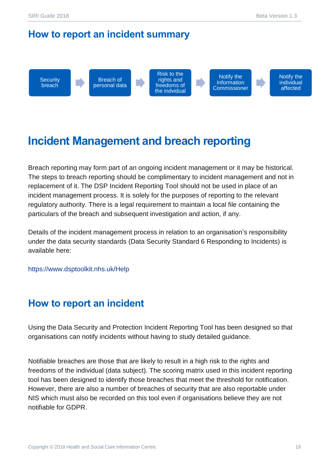#### <span id="page-18-0"></span>**How to report an incident summary**



### <span id="page-18-1"></span>**Incident Management and breach reporting**

Breach reporting may form part of an ongoing incident management or it may be historical. The steps to breach reporting should be complimentary to incident management and not in replacement of it. The DSP Incident Reporting Tool should not be used in place of an incident management process. It is solely for the purposes of reporting to the relevant regulatory authority. There is a legal requirement to maintain a local file containing the particulars of the breach and subsequent investigation and action, if any.

Details of the incident management process in relation to an organisation's responsibility under the data security standards (Data Security Standard 6 Responding to Incidents) is available here:

<https://www.dsptoolkit.nhs.uk/Help>

### <span id="page-18-2"></span>**How to report an incident**

Using the Data Security and Protection Incident Reporting Tool has been designed so that organisations can notify incidents without having to study detailed guidance.

Notifiable breaches are those that are likely to result in a high risk to the rights and freedoms of the individual (data subject). The scoring matrix used in this incident reporting tool has been designed to identify those breaches that meet the threshold for notification. However, there are also a number of breaches of security that are also reportable under NIS which must also be recorded on this tool even if organisations believe they are not notifiable for GDPR.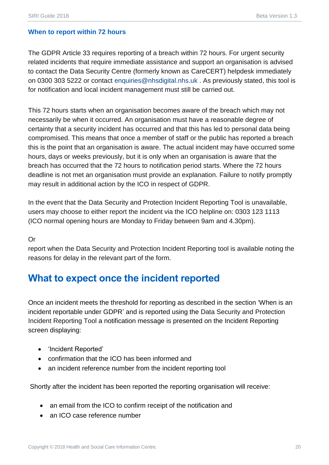#### <span id="page-19-0"></span>**When to report within 72 hours**

The GDPR Article 33 requires reporting of a breach within 72 hours. For urgent security related incidents that require immediate assistance and support an organisation is advised to contact the Data Security Centre (formerly known as CareCERT) helpdesk immediately on 0300 303 5222 or contact [enquiries@nhsdigital.nhs.uk](mailto:enquiries@nhsdigital.nhs.uk) . As previously stated, this tool is for notification and local incident management must still be carried out.

This 72 hours starts when an organisation becomes aware of the breach which may not necessarily be when it occurred. An organisation must have a reasonable degree of certainty that a security incident has occurred and that this has led to personal data being compromised. This means that once a member of staff or the public has reported a breach this is the point that an organisation is aware. The actual incident may have occurred some hours, days or weeks previously, but it is only when an organisation is aware that the breach has occurred that the 72 hours to notification period starts. Where the 72 hours deadline is not met an organisation must provide an explanation. Failure to notify promptly may result in additional action by the ICO in respect of GDPR.

In the event that the Data Security and Protection Incident Reporting Tool is unavailable, users may choose to either report the incident via the ICO helpline on: 0303 123 1113 (ICO normal opening hours are Monday to Friday between 9am and 4.30pm).

#### Or

report when the Data Security and Protection Incident Reporting tool is available noting the reasons for delay in the relevant part of the form.

### <span id="page-19-1"></span>**What to expect once the incident reported**

Once an incident meets the threshold for reporting as described in the section ['When is an](#page-10-2)  [incident reportable under GDPR'](#page-10-2) and is reported using the Data Security and Protection Incident Reporting Tool a notification message is presented on the Incident Reporting screen displaying:

- 'Incident Reported'
- confirmation that the ICO has been informed and
- an incident reference number from the incident reporting tool

Shortly after the incident has been reported the reporting organisation will receive:

- an email from the ICO to confirm receipt of the notification and
- an ICO case reference number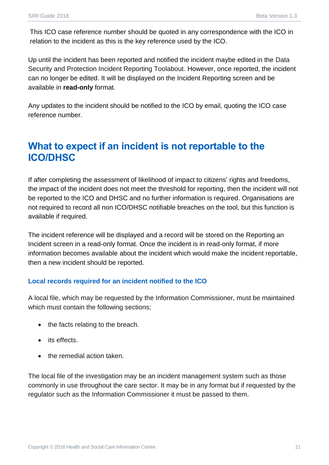This ICO case reference number should be quoted in any correspondence with the ICO in relation to the incident as this is the key reference used by the ICO.

Up until the incident has been reported and notified the incident maybe edited in the Data Security and Protection Incident Reporting Toolabout. However, once reported, the incident can no longer be edited. It will be displayed on the Incident Reporting screen and be available in **read-only** format.

Any updates to the incident should be notified to the ICO by email, quoting the ICO case reference number.

### <span id="page-20-0"></span>**What to expect if an incident is not reportable to the ICO/DHSC**

If after completing the assessment of likelihood of impact to citizens' rights and freedoms, the impact of the incident does not meet the threshold for reporting, then the incident will not be reported to the ICO and DHSC and no further information is required. Organisations are not required to record all non ICO/DHSC notifiable breaches on the tool, but this function is available if required.

The incident reference will be displayed and a record will be stored on the Reporting an Incident screen in a read-only format. Once the incident is in read-only format, if more information becomes available about the incident which would make the incident reportable, then a new incident should be reported.

#### <span id="page-20-1"></span>**Local records required for an incident notified to the ICO**

A local file, which may be requested by the Information Commissioner, must be maintained which must contain the following sections;

- the facts relating to the breach.
- its effects.
- the remedial action taken.

The local file of the investigation may be an incident management system such as those commonly in use throughout the care sector. It may be in any format but if requested by the regulator such as the Information Commissioner it must be passed to them.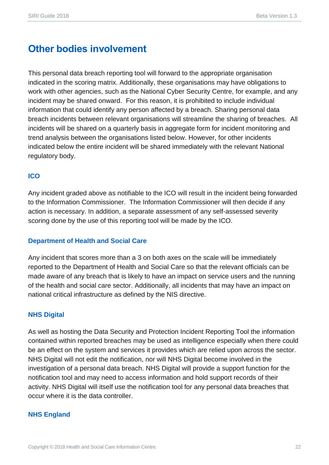### <span id="page-21-0"></span>**Other bodies involvement**

This personal data breach reporting tool will forward to the appropriate organisation indicated in the scoring matrix. Additionally, these organisations may have obligations to work with other agencies, such as the National Cyber Security Centre, for example, and any incident may be shared onward. For this reason, it is prohibited to include individual information that could identify any person affected by a breach. Sharing personal data breach incidents between relevant organisations will streamline the sharing of breaches. All incidents will be shared on a quarterly basis in aggregate form for incident monitoring and trend analysis between the organisations listed below. However, for other incidents indicated below the entire incident will be shared immediately with the relevant National regulatory body.

#### <span id="page-21-1"></span>**ICO**

Any incident graded above as notifiable to the ICO will result in the incident being forwarded to the Information Commissioner. The Information Commissioner will then decide if any action is necessary. In addition, a separate assessment of any self-assessed severity scoring done by the use of this reporting tool will be made by the ICO.

#### <span id="page-21-2"></span>**Department of Health and Social Care**

Any incident that scores more than a 3 on both axes on the scale will be immediately reported to the Department of Health and Social Care so that the relevant officials can be made aware of any breach that is likely to have an impact on service users and the running of the health and social care sector. Additionally, all incidents that may have an impact on national critical infrastructure as defined by the NIS directive.

#### <span id="page-21-3"></span>**NHS Digital**

As well as hosting the Data Security and Protection Incident Reporting Tool the information contained within reported breaches may be used as intelligence especially when there could be an effect on the system and services it provides which are relied upon across the sector. NHS Digital will not edit the notification, nor will NHS Digital become involved in the investigation of a personal data breach. NHS Digital will provide a support function for the notification tool and may need to access information and hold support records of their activity. NHS Digital will itself use the notification tool for any personal data breaches that occur where it is the data controller.

#### <span id="page-21-4"></span>**NHS England**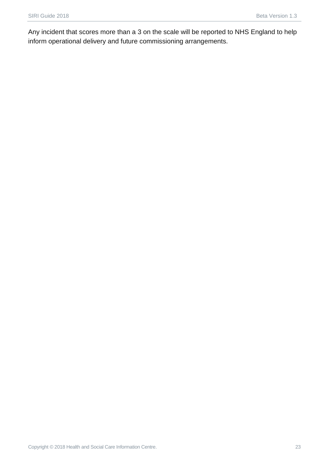Any incident that scores more than a 3 on the scale will be reported to NHS England to help inform operational delivery and future commissioning arrangements.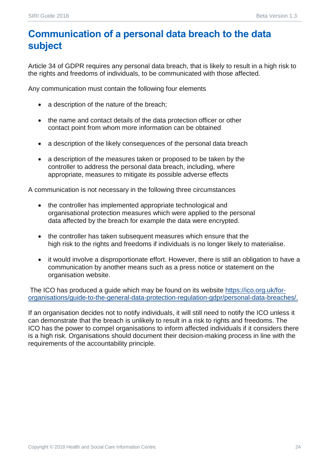### <span id="page-23-0"></span>**Communication of a personal data breach to the data subject**

Article 34 of GDPR requires any personal data breach, that is likely to result in a high risk to the rights and freedoms of individuals, to be communicated with those affected.

Any communication must contain the following four elements

- a description of the nature of the breach;
- the name and contact details of the data protection officer or other contact point from whom more information can be obtained
- a description of the likely consequences of the personal data breach
- a description of the measures taken or proposed to be taken by the controller to address the personal data breach, including, where appropriate, measures to mitigate its possible adverse effects

A communication is not necessary in the following three circumstances

- the controller has implemented appropriate technological and organisational protection measures which were applied to the personal data affected by the breach for example the data were encrypted.
- the controller has taken subsequent measures which ensure that the high risk to the rights and freedoms if individuals is no longer likely to materialise.
- it would involve a disproportionate effort. However, there is still an obligation to have a communication by another means such as a press notice or statement on the organisation website.

The ICO has produced a guide which may be found on its website [https://ico.org.uk/for](https://ico.org.uk/for-organisations/guide-to-the-general-data-protection-regulation-gdpr/personal-data-breaches/)[organisations/guide-to-the-general-data-protection-regulation-gdpr/personal-data-breaches/.](https://ico.org.uk/for-organisations/guide-to-the-general-data-protection-regulation-gdpr/personal-data-breaches/)

If an organisation decides not to notify individuals, it will still need to notify the ICO unless it can demonstrate that the breach is unlikely to result in a risk to rights and freedoms. The ICO has the power to compel organisations to inform affected individuals if it considers there is a high risk. Organisations should document their decision-making process in line with the requirements of the accountability principle.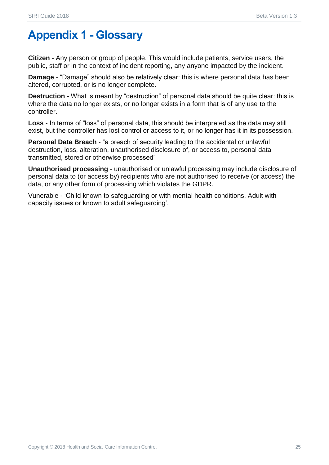### <span id="page-24-0"></span>**Appendix 1 - Glossary**

**Citizen** - Any person or group of people. This would include patients, service users, the public, staff or in the context of incident reporting, any anyone impacted by the incident.

**Damage** - "Damage" should also be relatively clear: this is where personal data has been altered, corrupted, or is no longer complete.

**Destruction** - What is meant by "destruction" of personal data should be quite clear: this is where the data no longer exists, or no longer exists in a form that is of any use to the controller.

**Loss** - In terms of "loss" of personal data, this should be interpreted as the data may still exist, but the controller has lost control or access to it, or no longer has it in its possession.

**Personal Data Breach** - "a breach of security leading to the accidental or unlawful destruction, loss, alteration, unauthorised disclosure of, or access to, personal data transmitted, stored or otherwise processed"

**Unauthorised processing** - unauthorised or unlawful processing may include disclosure of personal data to (or access by) recipients who are not authorised to receive (or access) the data, or any other form of processing which violates the GDPR.

Vunerable - 'Child known to safeguarding or with mental health conditions. Adult with capacity issues or known to adult safeguarding'.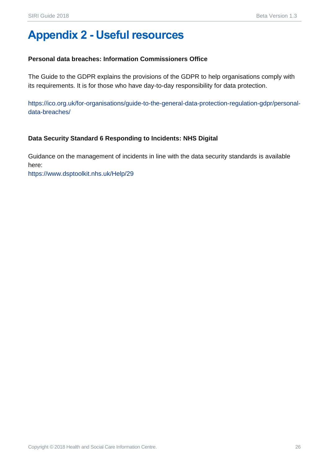### <span id="page-25-0"></span>**Appendix 2 - Useful resources**

#### **Personal data breaches: Information Commissioners Office**

The Guide to the GDPR explains the provisions of the GDPR to help organisations comply with its requirements. It is for those who have day-to-day responsibility for data protection.

[https://ico.org.uk/for-organisations/guide-to-the-general-data-protection-regulation-gdpr/personal](https://ico.org.uk/for-organisations/guide-to-the-general-data-protection-regulation-gdpr/personal-data-breaches/)[data-breaches/](https://ico.org.uk/for-organisations/guide-to-the-general-data-protection-regulation-gdpr/personal-data-breaches/)

#### **Data Security Standard 6 Responding to Incidents: NHS Digital**

Guidance on the management of incidents in line with the data security standards is available here:

<https://www.dsptoolkit.nhs.uk/Help/29>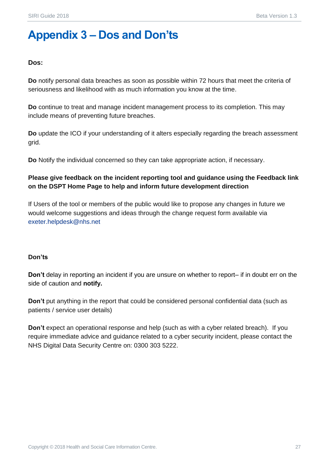### <span id="page-26-0"></span>**Appendix 3 – Dos and Don'ts**

#### **Dos:**

**Do** notify personal data breaches as soon as possible within 72 hours that meet the criteria of seriousness and likelihood with as much information you know at the time.

**Do** continue to treat and manage incident management process to its completion. This may include means of preventing future breaches.

**Do** update the ICO if your understanding of it alters especially regarding the breach assessment grid.

**Do** Notify the individual concerned so they can take appropriate action, if necessary.

#### **Please give feedback on the incident reporting tool and guidance using the Feedback link on the DSPT Home Page to help and inform future development direction**

If Users of the tool or members of the public would like to propose any changes in future we would welcome suggestions and ideas through the change request form available via [exeter.helpdesk@nhs.net](mailto:exeter.helpdesk@nhs.net)

#### **Don'ts**

**Don't** delay in reporting an incident if you are unsure on whether to report– if in doubt err on the side of caution and **notify.**

**Don't** put anything in the report that could be considered personal confidential data (such as patients / service user details)

**Don't** expect an operational response and help (such as with a cyber related breach). If you require immediate advice and guidance related to a cyber security incident, please contact the NHS Digital Data Security Centre on: 0300 303 5222.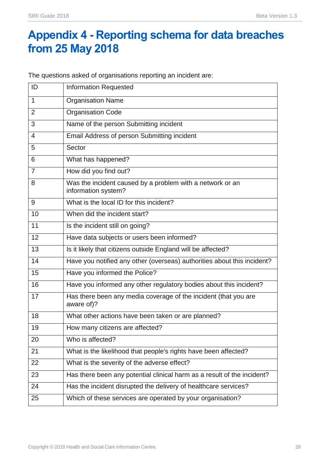### <span id="page-27-0"></span>**Appendix 4 - Reporting schema for data breaches from 25 May 2018**

The questions asked of organisations reporting an incident are:

| ID             | <b>Information Requested</b>                                                     |
|----------------|----------------------------------------------------------------------------------|
| $\mathbf{1}$   | <b>Organisation Name</b>                                                         |
| $\overline{2}$ | <b>Organisation Code</b>                                                         |
| 3              | Name of the person Submitting incident                                           |
| 4              | Email Address of person Submitting incident                                      |
| 5              | Sector                                                                           |
| 6              | What has happened?                                                               |
| $\overline{7}$ | How did you find out?                                                            |
| 8              | Was the incident caused by a problem with a network or an<br>information system? |
| 9              | What is the local ID for this incident?                                          |
| 10             | When did the incident start?                                                     |
| 11             | Is the incident still on going?                                                  |
| 12             | Have data subjects or users been informed?                                       |
| 13             | Is it likely that citizens outside England will be affected?                     |
| 14             | Have you notified any other (overseas) authorities about this incident?          |
| 15             | Have you informed the Police?                                                    |
| 16             | Have you informed any other regulatory bodies about this incident?               |
| 17             | Has there been any media coverage of the incident (that you are<br>aware of)?    |
| 18             | What other actions have been taken or are planned?                               |
| 19             | How many citizens are affected?                                                  |
| 20             | Who is affected?                                                                 |
| 21             | What is the likelihood that people's rights have been affected?                  |
| 22             | What is the severity of the adverse effect?                                      |
| 23             | Has there been any potential clinical harm as a result of the incident?          |
| 24             | Has the incident disrupted the delivery of healthcare services?                  |
| 25             | Which of these services are operated by your organisation?                       |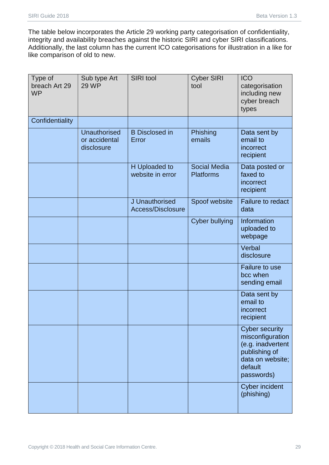The table below incorporates the Article 29 working party categorisation of confidentiality, integrity and availability breaches against the historic SIRI and cyber SIRI classifications. Additionally, the last column has the current ICO categorisations for illustration in a like for like comparison of old to new.

| Type of<br>breach Art 29<br><b>WP</b> | Sub type Art<br><b>29 WP</b>                       | SIRI tool                           | <b>Cyber SIRI</b><br>tool               | <b>ICO</b><br>categorisation<br>including new<br>cyber breach<br>types                                                       |
|---------------------------------------|----------------------------------------------------|-------------------------------------|-----------------------------------------|------------------------------------------------------------------------------------------------------------------------------|
| Confidentiality                       |                                                    |                                     |                                         |                                                                                                                              |
|                                       | <b>Unauthorised</b><br>or accidental<br>disclosure | <b>B</b> Disclosed in<br>Error      | Phishing<br>emails                      | Data sent by<br>email to<br>incorrect<br>recipient                                                                           |
|                                       |                                                    | H Uploaded to<br>website in error   | <b>Social Media</b><br><b>Platforms</b> | Data posted or<br>faxed to<br>incorrect<br>recipient                                                                         |
|                                       |                                                    | J Unauthorised<br>Access/Disclosure | Spoof website                           | Failure to redact<br>data                                                                                                    |
|                                       |                                                    |                                     | <b>Cyber bullying</b>                   | <b>Information</b><br>uploaded to<br>webpage                                                                                 |
|                                       |                                                    |                                     |                                         | Verbal<br>disclosure                                                                                                         |
|                                       |                                                    |                                     |                                         | Failure to use<br>bcc when<br>sending email                                                                                  |
|                                       |                                                    |                                     |                                         | Data sent by<br>email to<br>incorrect<br>recipient                                                                           |
|                                       |                                                    |                                     |                                         | <b>Cyber security</b><br>misconfiguration<br>(e.g. inadvertent<br>publishing of<br>data on website;<br>default<br>passwords) |
|                                       |                                                    |                                     |                                         | <b>Cyber incident</b><br>(phishing)                                                                                          |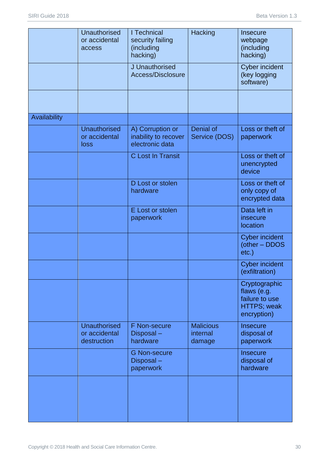|              | <b>Unauthorised</b><br>or accidental<br>access      | I Technical<br>security failing<br>(including<br>hacking)   | Hacking                                | <b>Insecure</b><br>webpage<br>(including<br>hacking)                                 |
|--------------|-----------------------------------------------------|-------------------------------------------------------------|----------------------------------------|--------------------------------------------------------------------------------------|
|              |                                                     | J Unauthorised<br>Access/Disclosure                         |                                        | <b>Cyber incident</b><br>(key logging<br>software)                                   |
|              |                                                     |                                                             |                                        |                                                                                      |
| Availability |                                                     |                                                             |                                        |                                                                                      |
|              | <b>Unauthorised</b><br>or accidental<br><b>loss</b> | A) Corruption or<br>inability to recover<br>electronic data | Denial of<br>Service (DOS)             | Loss or theft of<br>paperwork                                                        |
|              |                                                     | <b>C</b> Lost In Transit                                    |                                        | Loss or theft of<br>unencrypted<br>device                                            |
|              |                                                     | D Lost or stolen<br>hardware                                |                                        | Loss or theft of<br>only copy of<br>encrypted data                                   |
|              |                                                     | E Lost or stolen<br>paperwork                               |                                        | Data left in<br>insecure<br>location                                                 |
|              |                                                     |                                                             |                                        | <b>Cyber incident</b><br>(other - DDOS<br>$etc.$ )                                   |
|              |                                                     |                                                             |                                        | <b>Cyber incident</b><br>(exfiltration)                                              |
|              |                                                     |                                                             |                                        | Cryptographic<br>flaws (e.g.<br>failure to use<br><b>HTTPS</b> ; weak<br>encryption) |
|              | <b>Unauthorised</b><br>or accidental<br>destruction | F Non-secure<br>Disposal-<br>hardware                       | <b>Malicious</b><br>internal<br>damage | <b>Insecure</b><br>disposal of<br>paperwork                                          |
|              |                                                     | <b>G</b> Non-secure<br>Disposal-<br>paperwork               |                                        | <b>Insecure</b><br>disposal of<br>hardware                                           |
|              |                                                     |                                                             |                                        |                                                                                      |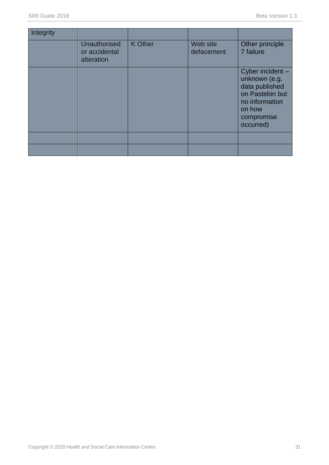| Integrity |                                                    |                |                        |                                                                                                                               |
|-----------|----------------------------------------------------|----------------|------------------------|-------------------------------------------------------------------------------------------------------------------------------|
|           | <b>Unauthorised</b><br>or accidental<br>alteration | <b>K</b> Other | Web site<br>defacement | Other principle<br>7 failure                                                                                                  |
|           |                                                    |                |                        | Cyber incident -<br>unknown (e.g.<br>data published<br>on Pastebin but<br>no information<br>on how<br>compromise<br>occurred) |
|           |                                                    |                |                        |                                                                                                                               |
|           |                                                    |                |                        |                                                                                                                               |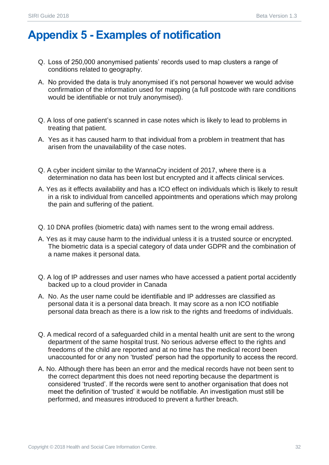### <span id="page-31-0"></span>**Appendix 5 - Examples of notification**

- Q. Loss of 250,000 anonymised patients' records used to map clusters a range of conditions related to geography.
- A. No provided the data is truly anonymised it's not personal however we would advise confirmation of the information used for mapping (a full postcode with rare conditions would be identifiable or not truly anonymised).
- Q. A loss of one patient's scanned in case notes which is likely to lead to problems in treating that patient.
- A. Yes as it has caused harm to that individual from a problem in treatment that has arisen from the unavailability of the case notes.
- Q. A cyber incident similar to the WannaCry incident of 2017, where there is a determination no data has been lost but encrypted and it affects clinical services.
- A. Yes as it effects availability and has a ICO effect on individuals which is likely to result in a risk to individual from cancelled appointments and operations which may prolong the pain and suffering of the patient.
- Q. 10 DNA profiles (biometric data) with names sent to the wrong email address.
- A. Yes as it may cause harm to the individual unless it is a trusted source or encrypted. The biometric data is a special category of data under GDPR and the combination of a name makes it personal data.
- Q. A log of IP addresses and user names who have accessed a patient portal accidently backed up to a cloud provider in Canada
- A. No. As the user name could be identifiable and IP addresses are classified as personal data it is a personal data breach. It may score as a non ICO notifiable personal data breach as there is a low risk to the rights and freedoms of individuals.
- Q. A medical record of a safeguarded child in a mental health unit are sent to the wrong department of the same hospital trust. No serious adverse effect to the rights and freedoms of the child are reported and at no time has the medical record been unaccounted for or any non 'trusted' person had the opportunity to access the record.
- A. No. Although there has been an error and the medical records have not been sent to the correct department this does not need reporting because the department is considered 'trusted'. If the records were sent to another organisation that does not meet the definition of 'trusted' it would be notifiable. An investigation must still be performed, and measures introduced to prevent a further breach.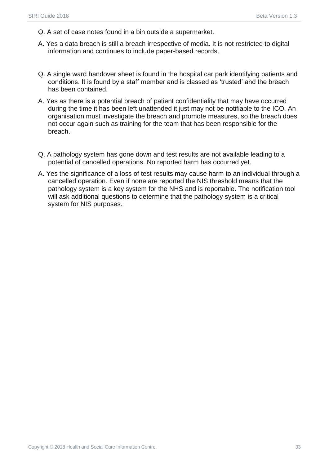- Q. A set of case notes found in a bin outside a supermarket.
- A. Yes a data breach is still a breach irrespective of media. It is not restricted to digital information and continues to include paper-based records.
- Q. A single ward handover sheet is found in the hospital car park identifying patients and conditions. It is found by a staff member and is classed as 'trusted' and the breach has been contained.
- A. Yes as there is a potential breach of patient confidentiality that may have occurred during the time it has been left unattended it just may not be notifiable to the ICO. An organisation must investigate the breach and promote measures, so the breach does not occur again such as training for the team that has been responsible for the breach.
- Q. A pathology system has gone down and test results are not available leading to a potential of cancelled operations. No reported harm has occurred yet.
- A. Yes the significance of a loss of test results may cause harm to an individual through a cancelled operation. Even if none are reported the NIS threshold means that the pathology system is a key system for the NHS and is reportable. The notification tool will ask additional questions to determine that the pathology system is a critical system for NIS purposes.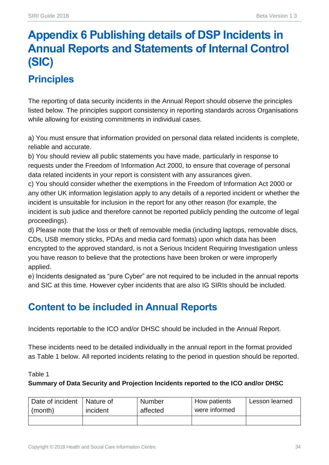# <span id="page-33-0"></span>**Appendix 6 Publishing details of DSP Incidents in Annual Reports and Statements of Internal Control (SIC)**

### <span id="page-33-1"></span>**Principles**

The reporting of data security incidents in the Annual Report should observe the principles listed below. The principles support consistency in reporting standards across Organisations while allowing for existing commitments in individual cases.

a) You must ensure that information provided on personal data related incidents is complete, reliable and accurate.

b) You should review all public statements you have made, particularly in response to requests under the Freedom of Information Act 2000, to ensure that coverage of personal data related incidents in your report is consistent with any assurances given.

c) You should consider whether the exemptions in the Freedom of Information Act 2000 or any other UK information legislation apply to any details of a reported incident or whether the incident is unsuitable for inclusion in the report for any other reason (for example, the incident is sub judice and therefore cannot be reported publicly pending the outcome of legal proceedings).

d) Please note that the loss or theft of removable media (including laptops, removable discs, CDs, USB memory sticks, PDAs and media card formats) upon which data has been encrypted to the approved standard, is not a Serious Incident Requiring Investigation unless you have reason to believe that the protections have been broken or were improperly applied.

e) Incidents designated as "pure Cyber" are not required to be included in the annual reports and SIC at this time. However cyber incidents that are also IG SIRIs should be included.

### <span id="page-33-2"></span>**Content to be included in Annual Reports**

Incidents reportable to the ICO and/or DHSC should be included in the Annual Report.

These incidents need to be detailed individually in the annual report in the format provided as Table 1 below. All reported incidents relating to the period in question should be reported.

Table 1

#### **Summary of Data Security and Projection Incidents reported to the ICO and/or DHSC**

| Date of incident | I Nature of | <b>Number</b> | How patients  | Lesson learned |
|------------------|-------------|---------------|---------------|----------------|
| (month)          | incident    | affected      | were informed |                |
|                  |             |               |               |                |